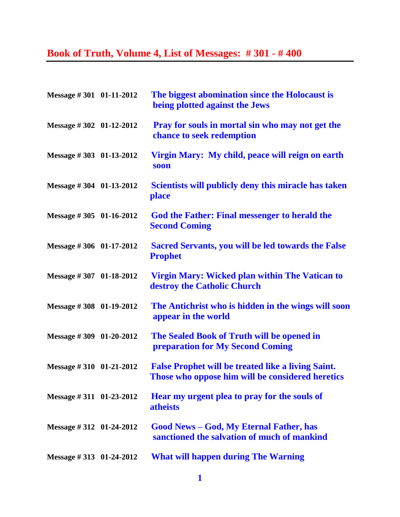## **Book of Truth, Volume 4, List of Messages: # 301 - # 400**

| Message #301 01-11-2012    | The biggest abomination since the Holocaust is<br>being plotted against the Jews                              |
|----------------------------|---------------------------------------------------------------------------------------------------------------|
| Message #302 01-12-2012    | Pray for souls in mortal sin who may not get the<br>chance to seek redemption                                 |
| Message #303 01-13-2012    | Virgin Mary: My child, peace will reign on earth<br>soon                                                      |
| Message #304 01-13-2012    | Scientists will publicly deny this miracle has taken<br>place                                                 |
| Message #305 01-16-2012    | <b>God the Father: Final messenger to herald the</b><br><b>Second Coming</b>                                  |
| Message #306 01-17-2012    | <b>Sacred Servants, you will be led towards the False</b><br><b>Prophet</b>                                   |
| Message #307 01-18-2012    | Virgin Mary: Wicked plan within The Vatican to<br>destroy the Catholic Church                                 |
| Message #308 01-19-2012    | The Antichrist who is hidden in the wings will soon<br>appear in the world                                    |
| Message #309 01-20-2012    | The Sealed Book of Truth will be opened in<br><b>preparation for My Second Coming</b>                         |
| Message #310 01-21-2012    | <b>False Prophet will be treated like a living Saint.</b><br>Those who oppose him will be considered heretics |
| Message #311 01-23-2012    | Hear my urgent plea to pray for the souls of<br><b>atheists</b>                                               |
| Message $\#312$ 01-24-2012 | <b>Good News – God, My Eternal Father, has</b><br>sanctioned the salvation of much of mankind                 |
| Message $\#313$ 01-24-2012 | <b>What will happen during The Warning</b>                                                                    |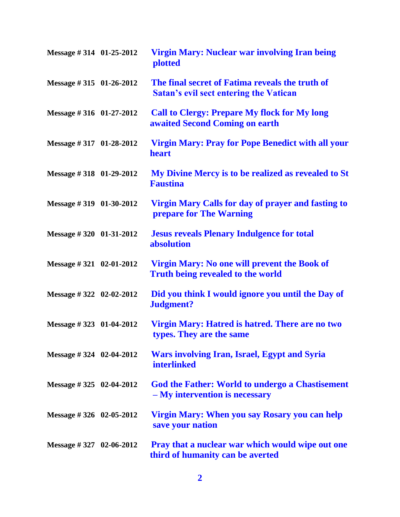| Message #314 01-25-2012     | Virgin Mary: Nuclear war involving Iran being<br><b>plotted</b>                                  |
|-----------------------------|--------------------------------------------------------------------------------------------------|
| Message $\#315$ 01-26-2012  | The final secret of Fatima reveals the truth of<br><b>Satan's evil sect entering the Vatican</b> |
| Message #316 01-27-2012     | <b>Call to Clergy: Prepare My flock for My long</b><br>awaited Second Coming on earth            |
| Message #317 01-28-2012     | <b>Virgin Mary: Pray for Pope Benedict with all your</b><br>heart                                |
| Message $\#318$ 01-29-2012  | My Divine Mercy is to be realized as revealed to St<br><b>Faustina</b>                           |
| Message #319 01-30-2012     | Virgin Mary Calls for day of prayer and fasting to<br><b>prepare for The Warning</b>             |
| Message #320 01-31-2012     | <b>Jesus reveals Plenary Indulgence for total</b><br>absolution                                  |
| Message $\#321$ 02-01-2012  | Virgin Mary: No one will prevent the Book of<br><b>Truth being revealed to the world</b>         |
| Message # 322 02-02-2012    | Did you think I would ignore you until the Day of<br>Judgment?                                   |
| Message #323 01-04-2012     | Virgin Mary: Hatred is hatred. There are no two<br>types. They are the same                      |
| Message #324 02-04-2012     | <b>Wars involving Iran, Israel, Egypt and Syria</b><br><b>interlinked</b>                        |
| Message $\#$ 325 02-04-2012 | <b>God the Father: World to undergo a Chastisement</b><br>- My intervention is necessary         |
| Message $\#326$ 02-05-2012  | Virgin Mary: When you say Rosary you can help<br>save your nation                                |
| Message $\#$ 327 02-06-2012 | <b>Pray that a nuclear war which would wipe out one</b><br>third of humanity can be averted      |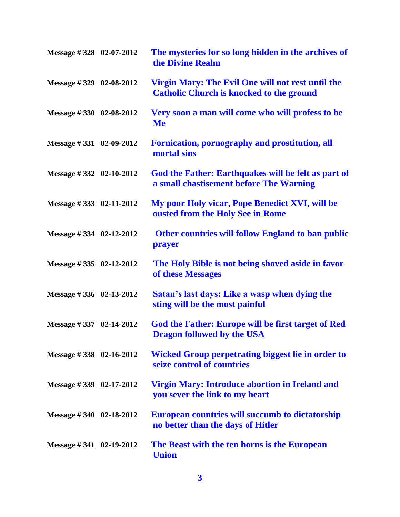| Message #328 02-07-2012     | The mysteries for so long hidden in the archives of<br>the Divine Realm                              |
|-----------------------------|------------------------------------------------------------------------------------------------------|
| Message #329 02-08-2012     | Virgin Mary: The Evil One will not rest until the<br><b>Catholic Church is knocked to the ground</b> |
| Message $\#330$ 02-08-2012  | Very soon a man will come who will profess to be<br><b>Me</b>                                        |
| Message #331 02-09-2012     | Fornication, pornography and prostitution, all<br>mortal sins                                        |
| Message #332 02-10-2012     | God the Father: Earthquakes will be felt as part of<br>a small chastisement before The Warning       |
| Message $\# 333$ 02-11-2012 | My poor Holy vicar, Pope Benedict XVI, will be<br>ousted from the Holy See in Rome                   |
| Message #334 02-12-2012     | <b>Other countries will follow England to ban public</b><br>prayer                                   |
| Message #335 02-12-2012     | The Holy Bible is not being shoved aside in favor<br>of these Messages                               |
| Message #336 02-13-2012     | Satan's last days: Like a wasp when dying the<br>sting will be the most painful                      |
| Message #337 02-14-2012     | God the Father: Europe will be first target of Red<br><b>Dragon followed by the USA</b>              |
| Message #338 02-16-2012     | <b>Wicked Group perpetrating biggest lie in order to</b><br>seize control of countries               |
| Message $\#$ 339 02-17-2012 | <b>Virgin Mary: Introduce abortion in Ireland and</b><br>you sever the link to my heart              |
| Message # 340 $02-18-2012$  | <b>European countries will succumb to dictatorship</b><br>no better than the days of Hitler          |
| Message #341 $02-19-2012$   | The Beast with the ten horns is the European<br><b>Union</b>                                         |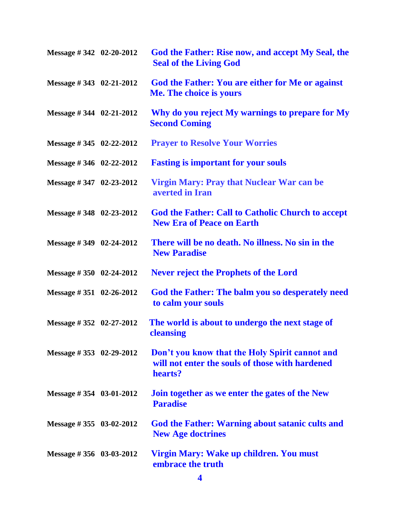| Message #342 02-20-2012     | God the Father: Rise now, and accept My Seal, the<br><b>Seal of the Living God</b>                           |
|-----------------------------|--------------------------------------------------------------------------------------------------------------|
| Message #343 02-21-2012     | God the Father: You are either for Me or against<br>Me. The choice is yours                                  |
| Message $\# 344$ 02-21-2012 | Why do you reject My warnings to prepare for My<br><b>Second Coming</b>                                      |
| Message $\#345$ 02-22-2012  | <b>Prayer to Resolve Your Worries</b>                                                                        |
| Message $\#346$ 02-22-2012  | <b>Fasting is important for your souls</b>                                                                   |
| Message #347 02-23-2012     | <b>Virgin Mary: Pray that Nuclear War can be</b><br>averted in Iran                                          |
| Message $\#348$ 02-23-2012  | <b>God the Father: Call to Catholic Church to accept</b><br><b>New Era of Peace on Earth</b>                 |
| Message $\#349$ 02-24-2012  | There will be no death. No illness. No sin in the<br><b>New Paradise</b>                                     |
| Message $\#350$ 02-24-2012  | <b>Never reject the Prophets of the Lord</b>                                                                 |
| Message $\#351$ 02-26-2012  | God the Father: The balm you so desperately need<br>to calm your souls                                       |
| Message #352 02-27-2012     | The world is about to undergo the next stage of<br>cleansing                                                 |
| Message #353 02-29-2012     | Don't you know that the Holy Spirit cannot and<br>will not enter the souls of those with hardened<br>hearts? |
| Message $\# 354$ 03-01-2012 | Join together as we enter the gates of the New<br><b>Paradise</b>                                            |
| Message # 355 $03-02-2012$  | God the Father: Warning about satanic cults and<br><b>New Age doctrines</b>                                  |
| Message $\# 356$ 03-03-2012 | Virgin Mary: Wake up children. You must<br>embrace the truth                                                 |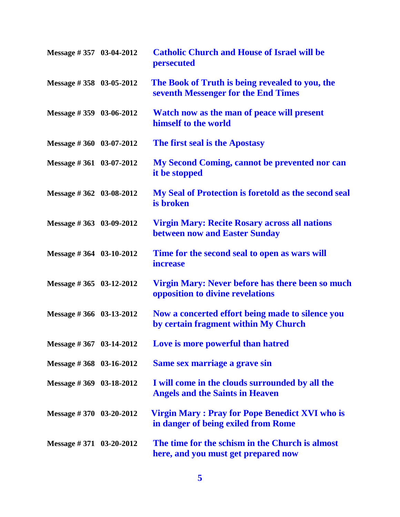| Message #357 03-04-2012     | <b>Catholic Church and House of Israel will be</b><br>persecuted                             |
|-----------------------------|----------------------------------------------------------------------------------------------|
| Message #358 03-05-2012     | The Book of Truth is being revealed to you, the<br>seventh Messenger for the End Times       |
| Message $\#359$ 03-06-2012  | Watch now as the man of peace will present<br>himself to the world                           |
| Message #360 03-07-2012     | The first seal is the Apostasy                                                               |
| Message #361 03-07-2012     | My Second Coming, cannot be prevented nor can<br>it be stopped                               |
| Message #362 03-08-2012     | My Seal of Protection is foretold as the second seal<br>is broken                            |
| Message #363 03-09-2012     | <b>Virgin Mary: Recite Rosary across all nations</b><br>between now and Easter Sunday        |
| Message $\#364$ 03-10-2012  | Time for the second seal to open as wars will<br><i>increase</i>                             |
| Message #365 03-12-2012     | Virgin Mary: Never before has there been so much<br>opposition to divine revelations         |
| Message #366 03-13-2012     | Now a concerted effort being made to silence you<br>by certain fragment within My Church     |
| Message #367 03-14-2012     | Love is more powerful than hatred                                                            |
| Message #368 03-16-2012     | Same sex marriage a grave sin                                                                |
| Message #369 03-18-2012     | I will come in the clouds surrounded by all the<br><b>Angels and the Saints in Heaven</b>    |
| Message $\#370$ 03-20-2012  | <b>Virgin Mary: Pray for Pope Benedict XVI who is</b><br>in danger of being exiled from Rome |
| Message $\# 371$ 03-20-2012 | The time for the schism in the Church is almost<br>here, and you must get prepared now       |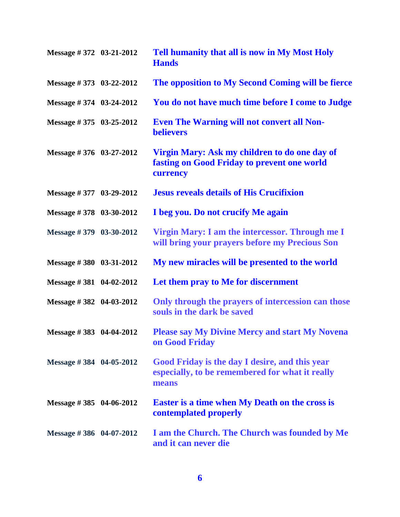| Message #372 03-21-2012 | Tell humanity that all is now in My Most Holy<br><b>Hands</b>                                              |
|-------------------------|------------------------------------------------------------------------------------------------------------|
| Message #373 03-22-2012 | The opposition to My Second Coming will be fierce                                                          |
| Message #374 03-24-2012 | You do not have much time before I come to Judge                                                           |
| Message #375 03-25-2012 | <b>Even The Warning will not convert all Non-</b><br><b>believers</b>                                      |
| Message #376 03-27-2012 | Virgin Mary: Ask my children to do one day of<br>fasting on Good Friday to prevent one world<br>currency   |
| Message #377 03-29-2012 | <b>Jesus reveals details of His Crucifixion</b>                                                            |
| Message #378 03-30-2012 | I beg you. Do not crucify Me again                                                                         |
| Message #379 03-30-2012 | Virgin Mary: I am the intercessor. Through me I<br>will bring your prayers before my Precious Son          |
| Message #380 03-31-2012 | My new miracles will be presented to the world                                                             |
| Message #381 04-02-2012 | Let them pray to Me for discernment                                                                        |
| Message #382 04-03-2012 | Only through the prayers of intercession can those<br>souls in the dark be saved                           |
| Message #383 04-04-2012 | <b>Please say My Divine Mercy and start My Novena</b><br>on Good Friday                                    |
| Message #384 04-05-2012 | Good Friday is the day I desire, and this year<br>especially, to be remembered for what it really<br>means |
| Message #385 04-06-2012 | <b>Easter is a time when My Death on the cross is</b><br>contemplated properly                             |
| Message #386 04-07-2012 | I am the Church. The Church was founded by Me<br>and it can never die                                      |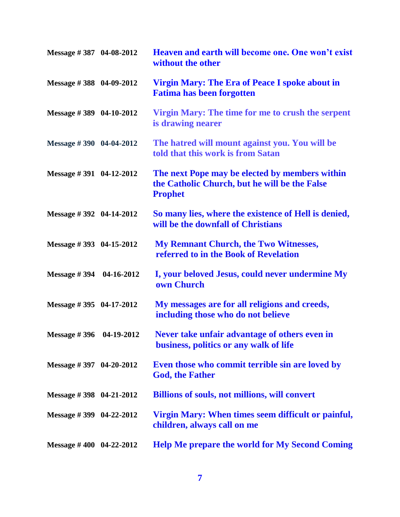| Message #387 04-08-2012     |            | Heaven and earth will become one. One won't exist<br>without the other                                            |
|-----------------------------|------------|-------------------------------------------------------------------------------------------------------------------|
| Message #388 04-09-2012     |            | Virgin Mary: The Era of Peace I spoke about in<br><b>Fatima has been forgotten</b>                                |
| Message #389 04-10-2012     |            | Virgin Mary: The time for me to crush the serpent<br>is drawing nearer                                            |
| Message $\# 390$ 04-04-2012 |            | The hatred will mount against you. You will be<br>told that this work is from Satan                               |
| Message $\# 391$ 04-12-2012 |            | The next Pope may be elected by members within<br>the Catholic Church, but he will be the False<br><b>Prophet</b> |
| Message $\#$ 392 04-14-2012 |            | So many lies, where the existence of Hell is denied,<br>will be the downfall of Christians                        |
| Message #393 04-15-2012     |            | <b>My Remnant Church, the Two Witnesses,</b><br>referred to in the Book of Revelation                             |
| Message #394 04-16-2012     |            | I, your beloved Jesus, could never undermine My<br>own Church                                                     |
| Message $\#395$ 04-17-2012  |            | My messages are for all religions and creeds,<br>including those who do not believe                               |
| <b>Message #396</b>         | 04-19-2012 | Never take unfair advantage of others even in<br>business, politics or any walk of life                           |
| Message #397 04-20-2012     |            | Even those who commit terrible sin are loved by<br><b>God, the Father</b>                                         |
| Message #398 04-21-2012     |            | <b>Billions of souls, not millions, will convert</b>                                                              |
| Message #399 04-22-2012     |            | Virgin Mary: When times seem difficult or painful,<br>children, always call on me                                 |
| Message $\#$ 400 04-22-2012 |            | <b>Help Me prepare the world for My Second Coming</b>                                                             |